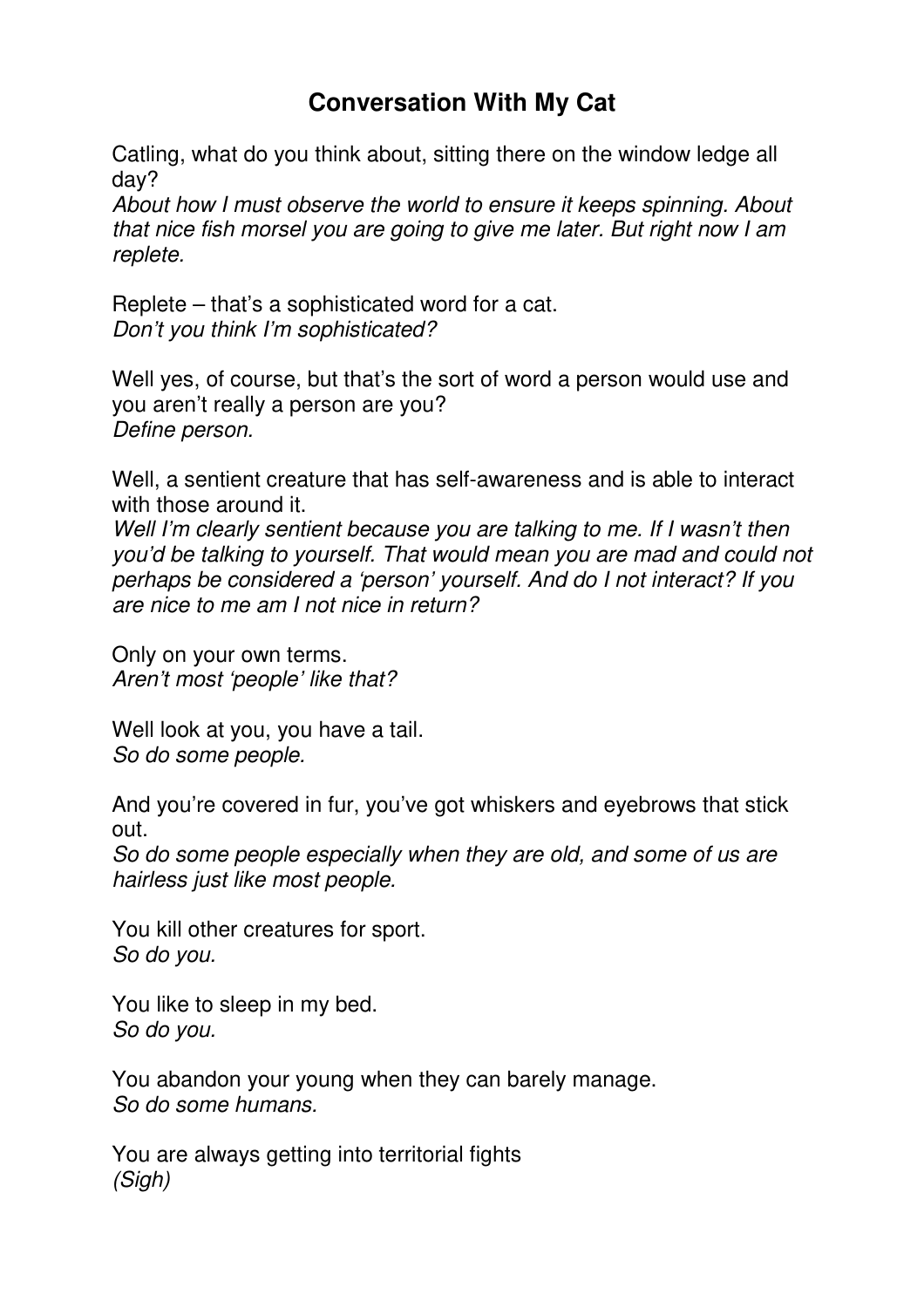## **Conversation With My Cat**

Catling, what do you think about, sitting there on the window ledge all day?

About how I must observe the world to ensure it keeps spinning. About that nice fish morsel you are going to give me later. But right now I am replete.

Replete – that's a sophisticated word for a cat. Don't you think I'm sophisticated?

Well yes, of course, but that's the sort of word a person would use and you aren't really a person are you? Define person.

Well, a sentient creature that has self-awareness and is able to interact with those around it.

Well I'm clearly sentient because you are talking to me. If I wasn't then you'd be talking to yourself. That would mean you are mad and could not perhaps be considered a 'person' yourself. And do I not interact? If you are nice to me am I not nice in return?

Only on your own terms. Aren't most 'people' like that?

Well look at you, you have a tail. So do some people.

And you're covered in fur, you've got whiskers and eyebrows that stick out.

So do some people especially when they are old, and some of us are hairless just like most people.

You kill other creatures for sport. So do you.

You like to sleep in my bed. So do you.

You abandon your young when they can barely manage. So do some humans.

You are always getting into territorial fights (Sigh)